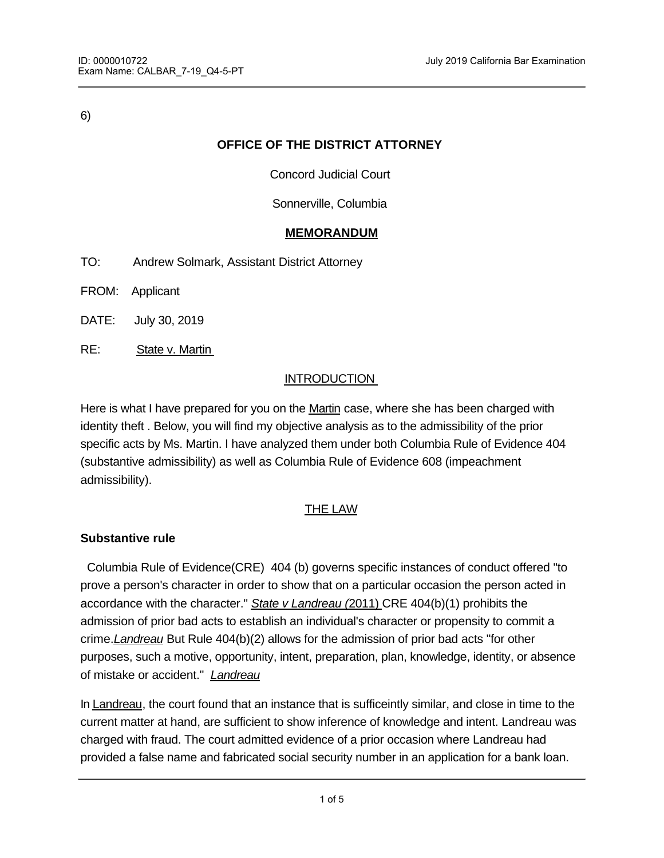6)

# **OFFICE OF THE DISTRICT ATTORNEY**

Concord Judicial Court

## Sonnerville, Columbia

## **MEMORANDUM**

- TO: Andrew Solmark, Assistant District Attorney
- FROM: Applicant
- DATE: July 30, 2019
- RE: State v. Martin

## INTRODUCTION

Here is what I have prepared for you on the Martin case, where she has been charged with identity theft . Below, you will find my objective analysis as to the admissibility of the prior specific acts by Ms. Martin. I have analyzed them under both Columbia Rule of Evidence 404 (substantive admissibility) as well as Columbia Rule of Evidence 608 (impeachment admissibility).

### THE LAW

### **Substantive rule**

 Columbia Rule of Evidence(CRE) 404 (b) governs specific instances of conduct offered "to prove a person's character in order to show that on a particular occasion the person acted in accordance with the character." *State v Landreau (*2011) CRE 404(b)(1) prohibits the admission of prior bad acts to establish an individual's character or propensity to commit a crime.*Landreau* But Rule 404(b)(2) allows for the admission of prior bad acts "for other purposes, such a motive, opportunity, intent, preparation, plan, knowledge, identity, or absence of mistake or accident." *Landreau*

In Landreau, the court found that an instance that is sufficeintly similar, and close in time to the current matter at hand, are sufficient to show inference of knowledge and intent. Landreau was charged with fraud. The court admitted evidence of a prior occasion where Landreau had provided a false name and fabricated social security number in an application for a bank loan.

 $\mathcal{F}_{\mathcal{A}}$  the circumstances to be sufficiently similar and close in time, the charge at hand.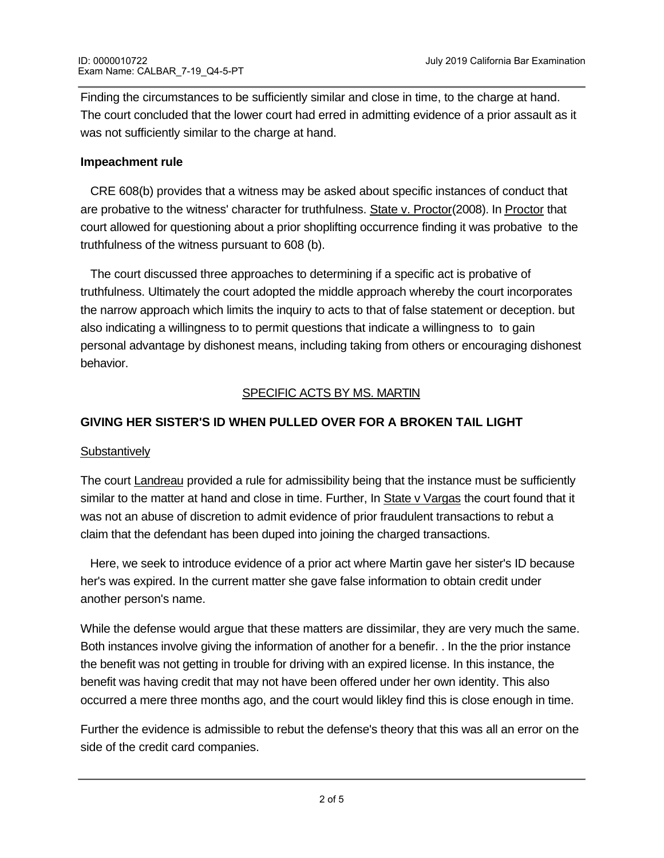Finding the circumstances to be sufficiently similar and close in time, to the charge at hand. The court concluded that the lower court had erred in admitting evidence of a prior assault as it was not sufficiently similar to the charge at hand.

### **Impeachment rule**

 CRE 608(b) provides that a witness may be asked about specific instances of conduct that are probative to the witness' character for truthfulness. State v. Proctor(2008). In Proctor that court allowed for questioning about a prior shoplifting occurrence finding it was probative to the truthfulness of the witness pursuant to 608 (b).

 The court discussed three approaches to determining if a specific act is probative of truthfulness. Ultimately the court adopted the middle approach whereby the court incorporates the narrow approach which limits the inquiry to acts to that of false statement or deception. but also indicating a willingness to to permit questions that indicate a willingness to to gain personal advantage by dishonest means, including taking from others or encouraging dishonest behavior.

# SPECIFIC ACTS BY MS. MARTIN

# **GIVING HER SISTER'S ID WHEN PULLED OVER FOR A BROKEN TAIL LIGHT**

### **Substantively**

The court **Landreau** provided a rule for admissibility being that the instance must be sufficiently similar to the matter at hand and close in time. Further, In State v Vargas the court found that it was not an abuse of discretion to admit evidence of prior fraudulent transactions to rebut a claim that the defendant has been duped into joining the charged transactions.

 Here, we seek to introduce evidence of a prior act where Martin gave her sister's ID because her's was expired. In the current matter she gave false information to obtain credit under another person's name.

While the defense would argue that these matters are dissimilar, they are very much the same. Both instances involve giving the information of another for a benefir. . In the the prior instance the benefit was not getting in trouble for driving with an expired license. In this instance, the benefit was having credit that may not have been offered under her own identity. This also occurred a mere three months ago, and the court would likley find this is close enough in time.

Further the evidence is admissible to rebut the defense's theory that this was all an error on the side of the credit card companies.

The court will likely admit this evidence substantively under rule 404(b).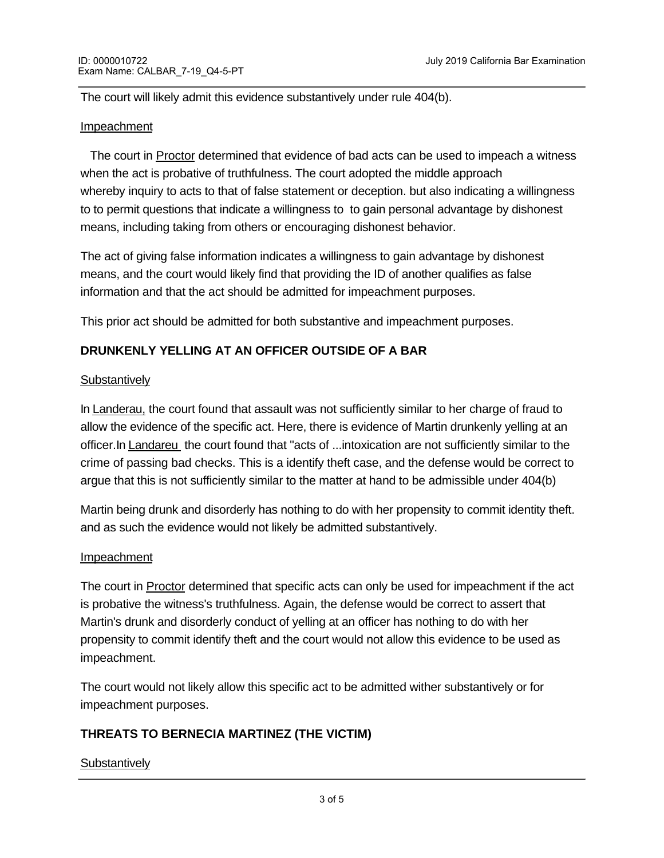The court will likely admit this evidence substantively under rule 404(b).

#### Impeachment

 The court in Proctor determined that evidence of bad acts can be used to impeach a witness when the act is probative of truthfulness. The court adopted the middle approach whereby inquiry to acts to that of false statement or deception. but also indicating a willingness to to permit questions that indicate a willingness to to gain personal advantage by dishonest means, including taking from others or encouraging dishonest behavior.

The act of giving false information indicates a willingness to gain advantage by dishonest means, and the court would likely find that providing the ID of another qualifies as false information and that the act should be admitted for impeachment purposes.

This prior act should be admitted for both substantive and impeachment purposes.

## **DRUNKENLY YELLING AT AN OFFICER OUTSIDE OF A BAR**

#### **Substantively**

In Landerau, the court found that assault was not sufficiently similar to her charge of fraud to allow the evidence of the specific act. Here, there is evidence of Martin drunkenly yelling at an officer.In Landareu the court found that "acts of ...intoxication are not sufficiently similar to the crime of passing bad checks. This is a identify theft case, and the defense would be correct to argue that this is not sufficiently similar to the matter at hand to be admissible under 404(b)

Martin being drunk and disorderly has nothing to do with her propensity to commit identity theft. and as such the evidence would not likely be admitted substantively.

#### Impeachment

The court in Proctor determined that specific acts can only be used for impeachment if the act is probative the witness's truthfulness. Again, the defense would be correct to assert that Martin's drunk and disorderly conduct of yelling at an officer has nothing to do with her propensity to commit identify theft and the court would not allow this evidence to be used as impeachment.

The court would not likely allow this specific act to be admitted wither substantively or for impeachment purposes.

## **THREATS TO BERNECIA MARTINEZ (THE VICTIM)**

#### **Substantively**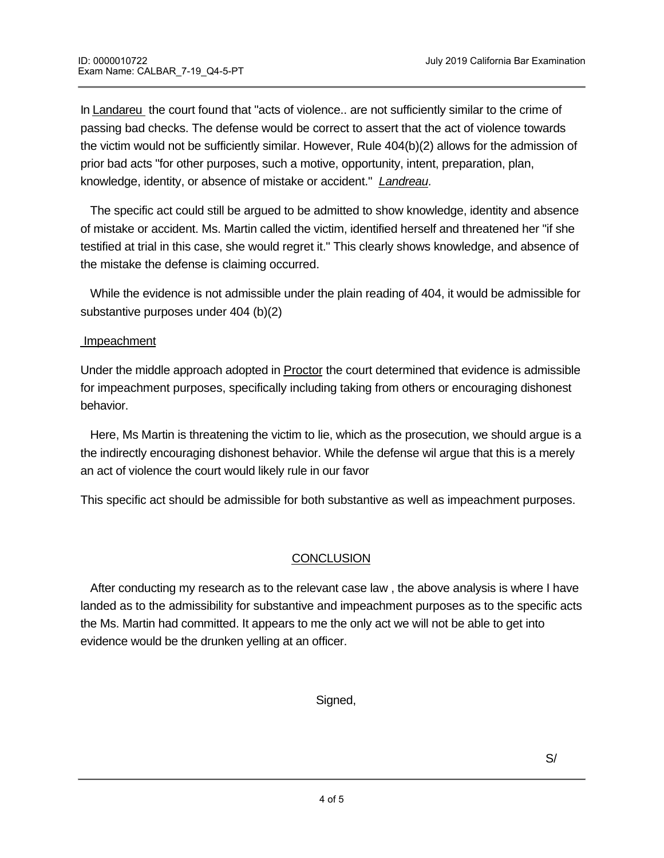In Landareu the court found that "acts of violence.. are not sufficiently similar to the crime of passing bad checks. The defense would be correct to assert that the act of violence towards the victim would not be sufficiently similar. However, Rule 404(b)(2) allows for the admission of prior bad acts "for other purposes, such a motive, opportunity, intent, preparation, plan, knowledge, identity, or absence of mistake or accident." *Landreau.* 

The specific act could still be argued to be admitted to show knowledge, identity and absence of mistake or accident. Ms. Martin called the victim, identified herself and threatened her "if she testified at trial in this case, she would regret it." This clearly shows knowledge, and absence of the mistake the defense is claiming occurred.

 While the evidence is not admissible under the plain reading of 404, it would be admissible for substantive purposes under 404 (b)(2)

### Impeachment

Applicant

Under the middle approach adopted in Proctor the court determined that evidence is admissible for impeachment purposes, specifically including taking from others or encouraging dishonest behavior.

 Here, Ms Martin is threatening the victim to lie, which as the prosecution, we should argue is a the indirectly encouraging dishonest behavior. While the defense wil argue that this is a merely an act of violence the court would likely rule in our favor

This specific act should be admissible for both substantive as well as impeachment purposes.

## **CONCLUSION**

 After conducting my research as to the relevant case law , the above analysis is where I have landed as to the admissibility for substantive and impeachment purposes as to the specific acts the Ms. Martin had committed. It appears to me the only act we will not be able to get into evidence would be the drunken yelling at an officer.

Signed,